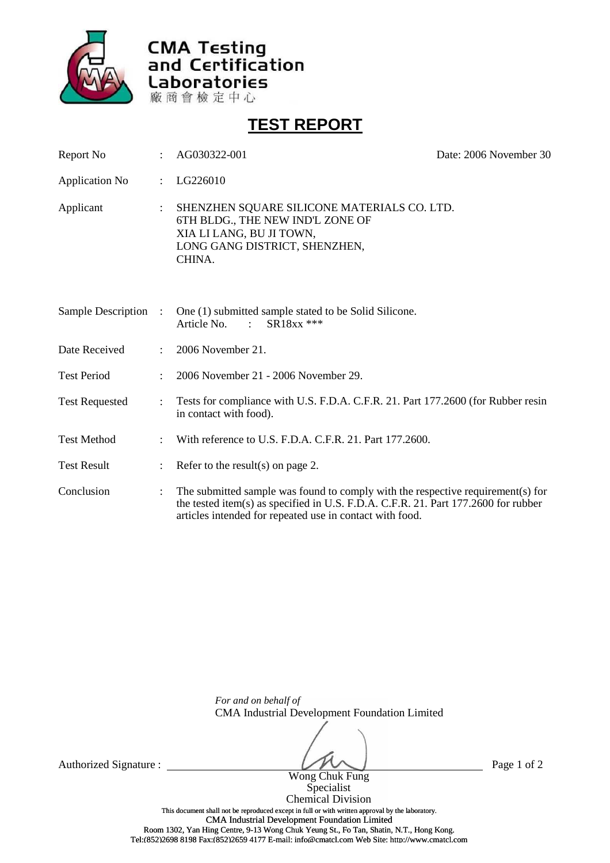

**CMA Testing<br>and Certification** Laboratories 廠商會檢定中心

**TEST REPORT**

| Report No             |                      | AG030322-001                                                                                                                                                                                                                      | Date: 2006 November 30 |
|-----------------------|----------------------|-----------------------------------------------------------------------------------------------------------------------------------------------------------------------------------------------------------------------------------|------------------------|
| <b>Application No</b> | $\ddot{\cdot}$       | LG226010                                                                                                                                                                                                                          |                        |
| Applicant             | $\ddot{\phantom{a}}$ | SHENZHEN SQUARE SILICONE MATERIALS CO. LTD.<br>6TH BLDG., THE NEW IND'L ZONE OF<br>XIA LI LANG, BU JI TOWN,<br>LONG GANG DISTRICT, SHENZHEN,<br>CHINA.                                                                            |                        |
| Sample Description    | ÷                    | One (1) submitted sample stated to be Solid Silicone.<br>SR18xx ***<br>Article No. :                                                                                                                                              |                        |
| Date Received         |                      | 2006 November 21.                                                                                                                                                                                                                 |                        |
| <b>Test Period</b>    |                      | 2006 November 21 - 2006 November 29.                                                                                                                                                                                              |                        |
| <b>Test Requested</b> |                      | Tests for compliance with U.S. F.D.A. C.F.R. 21. Part 177.2600 (for Rubber resin<br>in contact with food).                                                                                                                        |                        |
| <b>Test Method</b>    |                      | With reference to U.S. F.D.A. C.F.R. 21. Part 177.2600.                                                                                                                                                                           |                        |
| <b>Test Result</b>    |                      | Refer to the result(s) on page 2.                                                                                                                                                                                                 |                        |
| Conclusion            |                      | The submitted sample was found to comply with the respective requirement(s) for<br>the tested item(s) as specified in U.S. F.D.A. C.F.R. 21. Part 177.2600 for rubber<br>articles intended for repeated use in contact with food. |                        |

*For and on behalf of* CMA Industrial Development Foundation Limited

Wong Chuk Fung

Authorized Signature : Page 1 of 2

Specialist Chemical Division This document shall not be reproduced except in full or with written approval by the laboratory. CMA Industrial Development Foundation Limited Room 1302, Yan Hing Centre, 9-13 Wong Chuk Yeung St., Fo Tan, Shatin, N.T., Hong Kong. Tel:(852)2698 8198 Fax:(852)2659 4177 E-mail: info@cmatcl.com Web Site: http://www.cmatcl.com